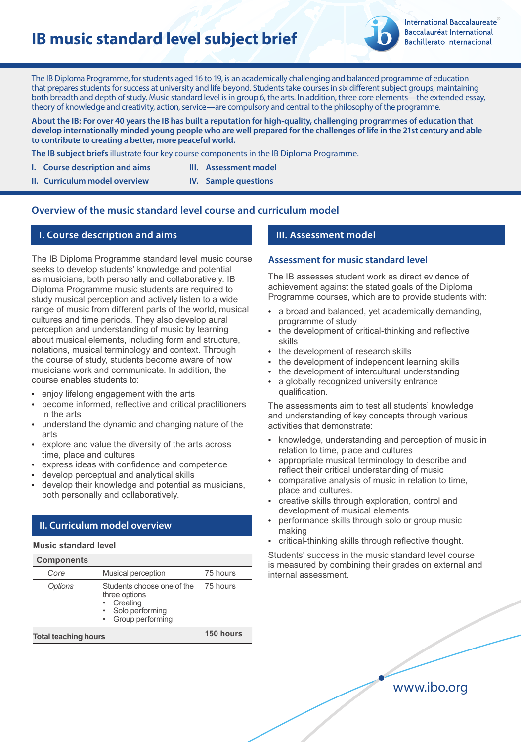# **IB music standard level subject brief**



The IB Diploma Programme, for students aged 16 to 19, is an academically challenging and balanced programme of education that prepares students for success at university and life beyond. Students take courses in six different subject groups, maintaining both breadth and depth of study. Music standard level is in group 6, the arts. In addition, three core elements—the extended essay, theory of knowledge and creativity, action, service—are compulsory and central to the philosophy of the programme.

**About the IB: For over 40 years the IB has built a reputation for high-quality, challenging programmes of education that develop internationally minded young people who are well prepared for the challenges of life in the 21st century and able to contribute to creating a better, more peaceful world.**

**The IB subject briefs** illustrate four key course components in the IB Diploma Programme.

- **I.** Course description and aims **III.** Assessment model
- **II. Curriculum model overview IV. Sample questions**

# **Overview of the music standard level course and curriculum model**

### **I. Course description and aims**

The IB Diploma Programme standard level music course seeks to develop students' knowledge and potential as musicians, both personally and collaboratively. IB Diploma Programme music students are required to study musical perception and actively listen to a wide range of music from different parts of the world, musical cultures and time periods. They also develop aural perception and understanding of music by learning about musical elements, including form and structure, notations, musical terminology and context. Through the course of study, students become aware of how musicians work and communicate. In addition, the course enables students to:

- enjoy lifelong engagement with the arts
- become informed, reflective and critical practitioners in the arts
- understand the dynamic and changing nature of the arts
- explore and value the diversity of the arts across time, place and cultures
- express ideas with confidence and competence
- develop perceptual and analytical skills
- develop their knowledge and potential as musicians, both personally and collaboratively.

# **II. Curriculum model overview**

#### **Music standard level**

| <b>Components</b> |                                                                                                |                      |
|-------------------|------------------------------------------------------------------------------------------------|----------------------|
| Core              | Musical perception                                                                             | 75 hours             |
| <b>Options</b>    | Students choose one of the<br>three options<br>Creating<br>Solo performing<br>Group performing | 75 hours             |
|                   |                                                                                                | $\sim$ $\sim$ $\sim$ |

**Total teaching hours**

**150 hours**

# **III. Assessment model**

#### **Assessment for music standard level**

The IB assesses student work as direct evidence of achievement against the stated goals of the Diploma Programme courses, which are to provide students with:

- a broad and balanced, yet academically demanding, programme of study
- the development of critical-thinking and reflective skills
- the development of research skills
- the development of independent learning skills
- the development of intercultural understanding
- a globally recognized university entrance qualification.

The assessments aim to test all students' knowledge and understanding of key concepts through various activities that demonstrate:

- knowledge, understanding and perception of music in relation to time, place and cultures
- appropriate musical terminology to describe and reflect their critical understanding of music
- comparative analysis of music in relation to time, place and cultures.
- creative skills through exploration, control and development of musical elements
- performance skills through solo or group music making
- critical-thinking skills through reflective thought.

Students' success in the music standard level course is measured by combining their grades on external and internal assessment.